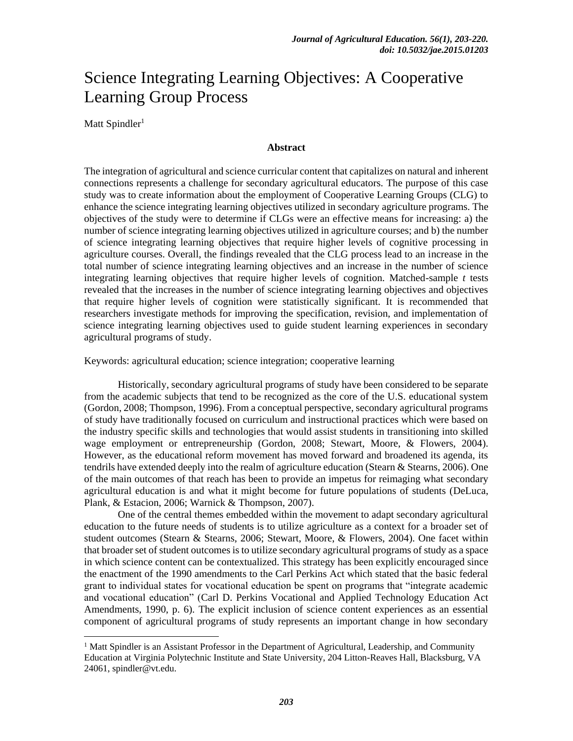# Science Integrating Learning Objectives: A Cooperative Learning Group Process

Matt Spindler<sup>1</sup>

 $\overline{a}$ 

#### **Abstract**

The integration of agricultural and science curricular content that capitalizes on natural and inherent connections represents a challenge for secondary agricultural educators. The purpose of this case study was to create information about the employment of Cooperative Learning Groups (CLG) to enhance the science integrating learning objectives utilized in secondary agriculture programs. The objectives of the study were to determine if CLGs were an effective means for increasing: a) the number of science integrating learning objectives utilized in agriculture courses; and b) the number of science integrating learning objectives that require higher levels of cognitive processing in agriculture courses. Overall, the findings revealed that the CLG process lead to an increase in the total number of science integrating learning objectives and an increase in the number of science integrating learning objectives that require higher levels of cognition. Matched-sample *t* tests revealed that the increases in the number of science integrating learning objectives and objectives that require higher levels of cognition were statistically significant. It is recommended that researchers investigate methods for improving the specification, revision, and implementation of science integrating learning objectives used to guide student learning experiences in secondary agricultural programs of study.

Keywords: agricultural education; science integration; cooperative learning

Historically, secondary agricultural programs of study have been considered to be separate from the academic subjects that tend to be recognized as the core of the U.S. educational system (Gordon, 2008; Thompson, 1996). From a conceptual perspective, secondary agricultural programs of study have traditionally focused on curriculum and instructional practices which were based on the industry specific skills and technologies that would assist students in transitioning into skilled wage employment or entrepreneurship (Gordon, 2008; Stewart, Moore, & Flowers, 2004). However, as the educational reform movement has moved forward and broadened its agenda, its tendrils have extended deeply into the realm of agriculture education (Stearn  $\&$  Stearns, 2006). One of the main outcomes of that reach has been to provide an impetus for reimaging what secondary agricultural education is and what it might become for future populations of students (DeLuca, Plank, & Estacion, 2006; Warnick & Thompson, 2007).

One of the central themes embedded within the movement to adapt secondary agricultural education to the future needs of students is to utilize agriculture as a context for a broader set of student outcomes (Stearn & Stearns, 2006; Stewart, Moore, & Flowers, 2004). One facet within that broader set of student outcomes is to utilize secondary agricultural programs of study as a space in which science content can be contextualized. This strategy has been explicitly encouraged since the enactment of the 1990 amendments to the Carl Perkins Act which stated that the basic federal grant to individual states for vocational education be spent on programs that "integrate academic and vocational education" (Carl D. Perkins Vocational and Applied Technology Education Act Amendments, 1990, p. 6). The explicit inclusion of science content experiences as an essential component of agricultural programs of study represents an important change in how secondary

<sup>&</sup>lt;sup>1</sup> Matt Spindler is an Assistant Professor in the Department of Agricultural, Leadership, and Community Education at Virginia Polytechnic Institute and State University, 204 Litton-Reaves Hall, Blacksburg, VA 24061, spindler@vt.edu.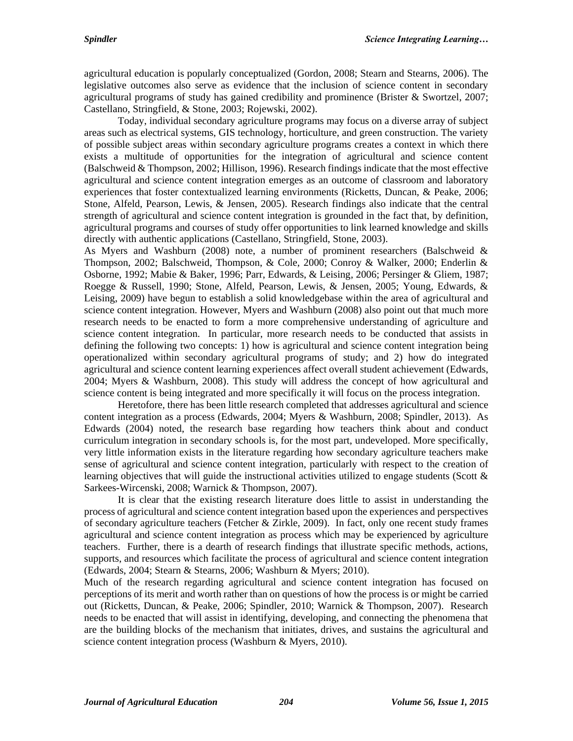agricultural education is popularly conceptualized (Gordon, 2008; Stearn and Stearns, 2006). The legislative outcomes also serve as evidence that the inclusion of science content in secondary agricultural programs of study has gained credibility and prominence (Brister & Swortzel, 2007; Castellano, Stringfield, & Stone, 2003; Rojewski, 2002).

Today, individual secondary agriculture programs may focus on a diverse array of subject areas such as electrical systems, GIS technology, horticulture, and green construction. The variety of possible subject areas within secondary agriculture programs creates a context in which there exists a multitude of opportunities for the integration of agricultural and science content (Balschweid & Thompson, 2002; Hillison, 1996). Research findings indicate that the most effective agricultural and science content integration emerges as an outcome of classroom and laboratory experiences that foster contextualized learning environments (Ricketts, Duncan, & Peake, 2006; Stone, Alfeld, Pearson, Lewis, & Jensen, 2005). Research findings also indicate that the central strength of agricultural and science content integration is grounded in the fact that, by definition, agricultural programs and courses of study offer opportunities to link learned knowledge and skills directly with authentic applications (Castellano, Stringfield, Stone, 2003).

As Myers and Washburn (2008) note, a number of prominent researchers (Balschweid & Thompson, 2002; Balschweid, Thompson, & Cole, 2000; Conroy & Walker, 2000; Enderlin & Osborne, 1992; Mabie & Baker, 1996; Parr, Edwards, & Leising, 2006; Persinger & Gliem, 1987; Roegge & Russell, 1990; Stone, Alfeld, Pearson, Lewis, & Jensen, 2005; Young, Edwards, & Leising, 2009) have begun to establish a solid knowledgebase within the area of agricultural and science content integration. However, Myers and Washburn (2008) also point out that much more research needs to be enacted to form a more comprehensive understanding of agriculture and science content integration. In particular, more research needs to be conducted that assists in defining the following two concepts: 1) how is agricultural and science content integration being operationalized within secondary agricultural programs of study; and 2) how do integrated agricultural and science content learning experiences affect overall student achievement (Edwards, 2004; Myers & Washburn, 2008). This study will address the concept of how agricultural and science content is being integrated and more specifically it will focus on the process integration.

Heretofore, there has been little research completed that addresses agricultural and science content integration as a process (Edwards, 2004; Myers & Washburn, 2008; Spindler, 2013). As Edwards (2004) noted, the research base regarding how teachers think about and conduct curriculum integration in secondary schools is, for the most part, undeveloped. More specifically, very little information exists in the literature regarding how secondary agriculture teachers make sense of agricultural and science content integration, particularly with respect to the creation of learning objectives that will guide the instructional activities utilized to engage students (Scott  $\&$ Sarkees-Wircenski, 2008; Warnick & Thompson, 2007).

It is clear that the existing research literature does little to assist in understanding the process of agricultural and science content integration based upon the experiences and perspectives of secondary agriculture teachers (Fetcher & Zirkle, 2009). In fact, only one recent study frames agricultural and science content integration as process which may be experienced by agriculture teachers. Further, there is a dearth of research findings that illustrate specific methods, actions, supports, and resources which facilitate the process of agricultural and science content integration (Edwards, 2004; Stearn & Stearns, 2006; Washburn & Myers; 2010).

Much of the research regarding agricultural and science content integration has focused on perceptions of its merit and worth rather than on questions of how the process is or might be carried out (Ricketts, Duncan, & Peake, 2006; Spindler, 2010; Warnick & Thompson, 2007). Research needs to be enacted that will assist in identifying, developing, and connecting the phenomena that are the building blocks of the mechanism that initiates, drives, and sustains the agricultural and science content integration process (Washburn & Myers, 2010).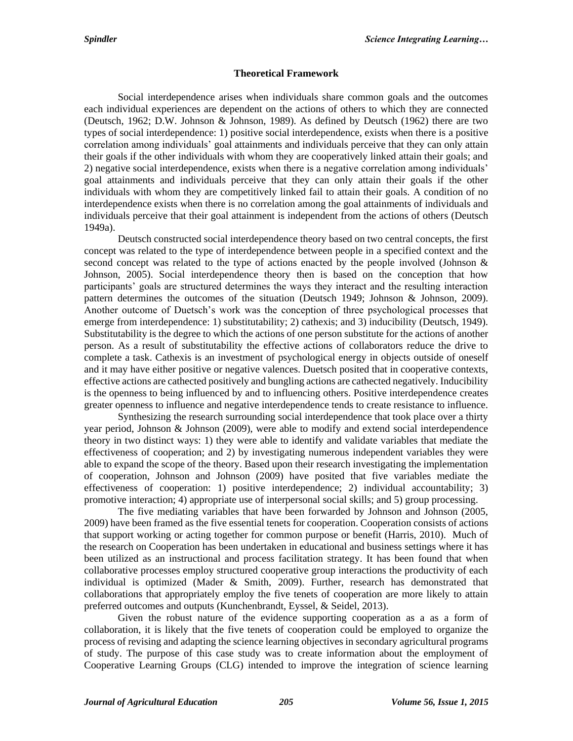#### **Theoretical Framework**

Social interdependence arises when individuals share common goals and the outcomes each individual experiences are dependent on the actions of others to which they are connected (Deutsch, 1962; D.W. Johnson & Johnson, 1989). As defined by Deutsch (1962) there are two types of social interdependence: 1) positive social interdependence, exists when there is a positive correlation among individuals' goal attainments and individuals perceive that they can only attain their goals if the other individuals with whom they are cooperatively linked attain their goals; and 2) negative social interdependence, exists when there is a negative correlation among individuals' goal attainments and individuals perceive that they can only attain their goals if the other individuals with whom they are competitively linked fail to attain their goals. A condition of no interdependence exists when there is no correlation among the goal attainments of individuals and individuals perceive that their goal attainment is independent from the actions of others (Deutsch 1949a).

Deutsch constructed social interdependence theory based on two central concepts, the first concept was related to the type of interdependence between people in a specified context and the second concept was related to the type of actions enacted by the people involved (Johnson & Johnson, 2005). Social interdependence theory then is based on the conception that how participants' goals are structured determines the ways they interact and the resulting interaction pattern determines the outcomes of the situation (Deutsch 1949; Johnson & Johnson, 2009). Another outcome of Duetsch's work was the conception of three psychological processes that emerge from interdependence: 1) substitutability; 2) cathexis; and 3) inducibility (Deutsch, 1949). Substitutability is the degree to which the actions of one person substitute for the actions of another person. As a result of substitutability the effective actions of collaborators reduce the drive to complete a task. Cathexis is an investment of psychological energy in objects outside of oneself and it may have either positive or negative valences. Duetsch posited that in cooperative contexts, effective actions are cathected positively and bungling actions are cathected negatively. Inducibility is the openness to being influenced by and to influencing others. Positive interdependence creates greater openness to influence and negative interdependence tends to create resistance to influence.

Synthesizing the research surrounding social interdependence that took place over a thirty year period, Johnson & Johnson (2009), were able to modify and extend social interdependence theory in two distinct ways: 1) they were able to identify and validate variables that mediate the effectiveness of cooperation; and 2) by investigating numerous independent variables they were able to expand the scope of the theory. Based upon their research investigating the implementation of cooperation, Johnson and Johnson (2009) have posited that five variables mediate the effectiveness of cooperation: 1) positive interdependence; 2) individual accountability; 3) promotive interaction; 4) appropriate use of interpersonal social skills; and 5) group processing.

The five mediating variables that have been forwarded by Johnson and Johnson (2005, 2009) have been framed as the five essential tenets for cooperation. Cooperation consists of actions that support working or acting together for common purpose or benefit (Harris, 2010). Much of the research on Cooperation has been undertaken in educational and business settings where it has been utilized as an instructional and process facilitation strategy. It has been found that when collaborative processes employ structured cooperative group interactions the productivity of each individual is optimized (Mader & Smith, 2009). Further, research has demonstrated that collaborations that appropriately employ the five tenets of cooperation are more likely to attain preferred outcomes and outputs (Kunchenbrandt, Eyssel, & Seidel, 2013).

Given the robust nature of the evidence supporting cooperation as a as a form of collaboration, it is likely that the five tenets of cooperation could be employed to organize the process of revising and adapting the science learning objectives in secondary agricultural programs of study. The purpose of this case study was to create information about the employment of Cooperative Learning Groups (CLG) intended to improve the integration of science learning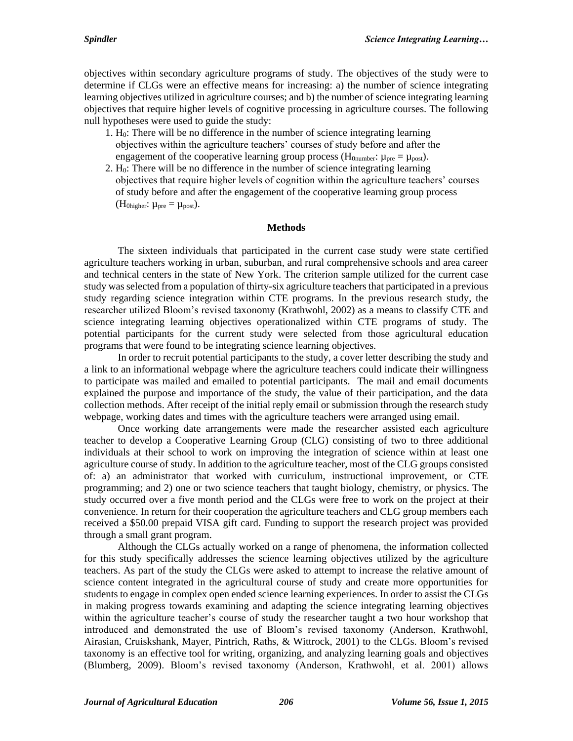objectives within secondary agriculture programs of study. The objectives of the study were to determine if CLGs were an effective means for increasing: a) the number of science integrating learning objectives utilized in agriculture courses; and b) the number of science integrating learning objectives that require higher levels of cognitive processing in agriculture courses. The following null hypotheses were used to guide the study:

- 1. H0: There will be no difference in the number of science integrating learning objectives within the agriculture teachers' courses of study before and after the engagement of the cooperative learning group process ( $H_{0\text{number}}$ :  $\mu_{\text{pre}} = \mu_{\text{post}}$ ).
- 2.  $H_0$ : There will be no difference in the number of science integrating learning objectives that require higher levels of cognition within the agriculture teachers' courses of study before and after the engagement of the cooperative learning group process (H<sub>0higher</sub>:  $\mu_{pre} = \mu_{post}$ ).

#### **Methods**

The sixteen individuals that participated in the current case study were state certified agriculture teachers working in urban, suburban, and rural comprehensive schools and area career and technical centers in the state of New York. The criterion sample utilized for the current case study was selected from a population of thirty-six agriculture teachers that participated in a previous study regarding science integration within CTE programs. In the previous research study, the researcher utilized Bloom's revised taxonomy (Krathwohl, 2002) as a means to classify CTE and science integrating learning objectives operationalized within CTE programs of study. The potential participants for the current study were selected from those agricultural education programs that were found to be integrating science learning objectives.

In order to recruit potential participants to the study, a cover letter describing the study and a link to an informational webpage where the agriculture teachers could indicate their willingness to participate was mailed and emailed to potential participants. The mail and email documents explained the purpose and importance of the study, the value of their participation, and the data collection methods. After receipt of the initial reply email or submission through the research study webpage, working dates and times with the agriculture teachers were arranged using email.

Once working date arrangements were made the researcher assisted each agriculture teacher to develop a Cooperative Learning Group (CLG) consisting of two to three additional individuals at their school to work on improving the integration of science within at least one agriculture course of study. In addition to the agriculture teacher, most of the CLG groups consisted of: a) an administrator that worked with curriculum, instructional improvement, or CTE programming; and 2) one or two science teachers that taught biology, chemistry, or physics. The study occurred over a five month period and the CLGs were free to work on the project at their convenience. In return for their cooperation the agriculture teachers and CLG group members each received a \$50.00 prepaid VISA gift card. Funding to support the research project was provided through a small grant program.

Although the CLGs actually worked on a range of phenomena, the information collected for this study specifically addresses the science learning objectives utilized by the agriculture teachers. As part of the study the CLGs were asked to attempt to increase the relative amount of science content integrated in the agricultural course of study and create more opportunities for students to engage in complex open ended science learning experiences. In order to assist the CLGs in making progress towards examining and adapting the science integrating learning objectives within the agriculture teacher's course of study the researcher taught a two hour workshop that introduced and demonstrated the use of Bloom's revised taxonomy (Anderson, Krathwohl, Airasian, Cruiskshank, Mayer, Pintrich, Raths, & Wittrock, 2001) to the CLGs. Bloom's revised taxonomy is an effective tool for writing, organizing, and analyzing learning goals and objectives (Blumberg, 2009). Bloom's revised taxonomy (Anderson, Krathwohl, et al. 2001) allows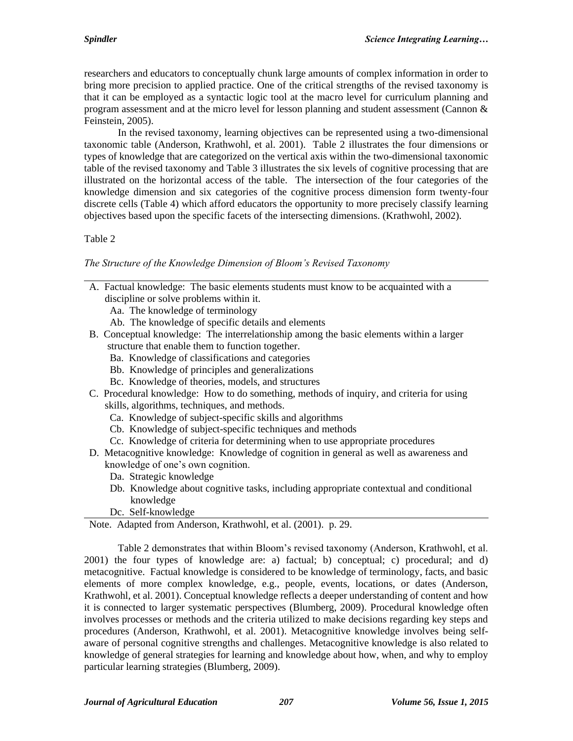researchers and educators to conceptually chunk large amounts of complex information in order to bring more precision to applied practice. One of the critical strengths of the revised taxonomy is that it can be employed as a syntactic logic tool at the macro level for curriculum planning and program assessment and at the micro level for lesson planning and student assessment (Cannon  $\&$ Feinstein, 2005).

In the revised taxonomy, learning objectives can be represented using a two-dimensional taxonomic table (Anderson, Krathwohl, et al. 2001). Table 2 illustrates the four dimensions or types of knowledge that are categorized on the vertical axis within the two-dimensional taxonomic table of the revised taxonomy and Table 3 illustrates the six levels of cognitive processing that are illustrated on the horizontal access of the table. The intersection of the four categories of the knowledge dimension and six categories of the cognitive process dimension form twenty-four discrete cells (Table 4) which afford educators the opportunity to more precisely classify learning objectives based upon the specific facets of the intersecting dimensions. (Krathwohl, 2002).

# Table 2

# *The Structure of the Knowledge Dimension of Bloom's Revised Taxonomy*

- A. Factual knowledge: The basic elements students must know to be acquainted with a discipline or solve problems within it.
	- Aa. The knowledge of terminology
	- Ab. The knowledge of specific details and elements
- B. Conceptual knowledge: The interrelationship among the basic elements within a larger structure that enable them to function together.
	- Ba. Knowledge of classifications and categories
	- Bb. Knowledge of principles and generalizations
	- Bc. Knowledge of theories, models, and structures
- C. Procedural knowledge: How to do something, methods of inquiry, and criteria for using skills, algorithms, techniques, and methods.
	- Ca. Knowledge of subject-specific skills and algorithms
	- Cb. Knowledge of subject-specific techniques and methods
	- Cc. Knowledge of criteria for determining when to use appropriate procedures
- D. Metacognitive knowledge: Knowledge of cognition in general as well as awareness and knowledge of one's own cognition.
	- Da. Strategic knowledge
	- Db. Knowledge about cognitive tasks, including appropriate contextual and conditional knowledge
	- Dc. Self-knowledge

# Note. Adapted from Anderson, Krathwohl, et al. (2001). p. 29.

Table 2 demonstrates that within Bloom's revised taxonomy (Anderson, Krathwohl, et al. 2001) the four types of knowledge are: a) factual; b) conceptual; c) procedural; and d) metacognitive. Factual knowledge is considered to be knowledge of terminology, facts, and basic elements of more complex knowledge, e.g., people, events, locations, or dates (Anderson, Krathwohl, et al. 2001). Conceptual knowledge reflects a deeper understanding of content and how it is connected to larger systematic perspectives (Blumberg, 2009). Procedural knowledge often involves processes or methods and the criteria utilized to make decisions regarding key steps and procedures (Anderson, Krathwohl, et al. 2001). Metacognitive knowledge involves being selfaware of personal cognitive strengths and challenges. Metacognitive knowledge is also related to knowledge of general strategies for learning and knowledge about how, when, and why to employ particular learning strategies (Blumberg, 2009).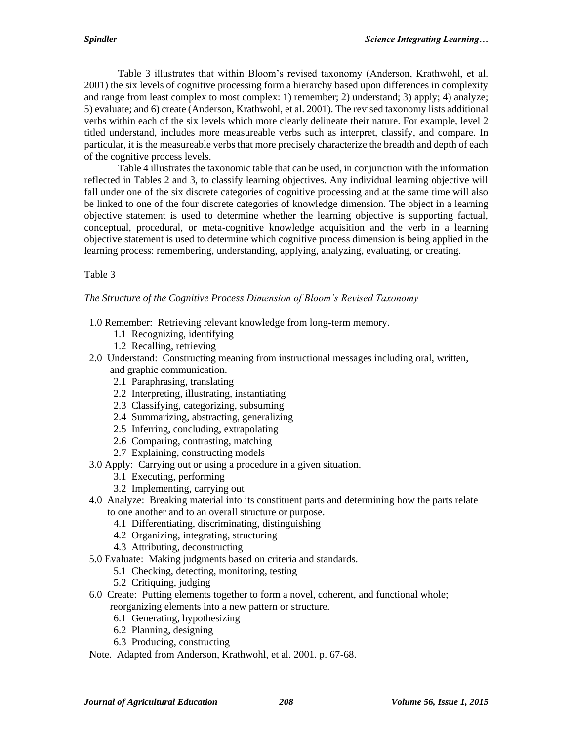Table 3 illustrates that within Bloom's revised taxonomy (Anderson, Krathwohl, et al. 2001) the six levels of cognitive processing form a hierarchy based upon differences in complexity and range from least complex to most complex: 1) remember; 2) understand; 3) apply; 4) analyze; 5) evaluate; and 6) create (Anderson, Krathwohl, et al. 2001). The revised taxonomy lists additional verbs within each of the six levels which more clearly delineate their nature. For example, level 2 titled understand, includes more measureable verbs such as interpret, classify, and compare. In particular, it is the measureable verbs that more precisely characterize the breadth and depth of each of the cognitive process levels.

Table 4 illustrates the taxonomic table that can be used, in conjunction with the information reflected in Tables 2 and 3, to classify learning objectives. Any individual learning objective will fall under one of the six discrete categories of cognitive processing and at the same time will also be linked to one of the four discrete categories of knowledge dimension. The object in a learning objective statement is used to determine whether the learning objective is supporting factual, conceptual, procedural, or meta-cognitive knowledge acquisition and the verb in a learning objective statement is used to determine which cognitive process dimension is being applied in the learning process: remembering, understanding, applying, analyzing, evaluating, or creating.

# Table 3

## *The Structure of the Cognitive Process Dimension of Bloom's Revised Taxonomy*

- 1.0 Remember: Retrieving relevant knowledge from long-term memory.
	- 1.1 Recognizing, identifying
	- 1.2 Recalling, retrieving
- 2.0 Understand: Constructing meaning from instructional messages including oral, written, and graphic communication.
	- 2.1 Paraphrasing, translating
	- 2.2 Interpreting, illustrating, instantiating
	- 2.3 Classifying, categorizing, subsuming
	- 2.4 Summarizing, abstracting, generalizing
	- 2.5 Inferring, concluding, extrapolating
	- 2.6 Comparing, contrasting, matching
	- 2.7 Explaining, constructing models
- 3.0 Apply: Carrying out or using a procedure in a given situation.
	- 3.1 Executing, performing
	- 3.2 Implementing, carrying out
- 4.0 Analyze: Breaking material into its constituent parts and determining how the parts relate to one another and to an overall structure or purpose.
	- 4.1 Differentiating, discriminating, distinguishing
	- 4.2 Organizing, integrating, structuring
	- 4.3 Attributing, deconstructing
- 5.0 Evaluate: Making judgments based on criteria and standards.
	- 5.1 Checking, detecting, monitoring, testing
	- 5.2 Critiquing, judging
- 6.0 Create: Putting elements together to form a novel, coherent, and functional whole; reorganizing elements into a new pattern or structure.
	- 6.1 Generating, hypothesizing
	- 6.2 Planning, designing
	- 6.3 Producing, constructing
- Note. Adapted from Anderson, Krathwohl, et al. 2001. p. 67-68.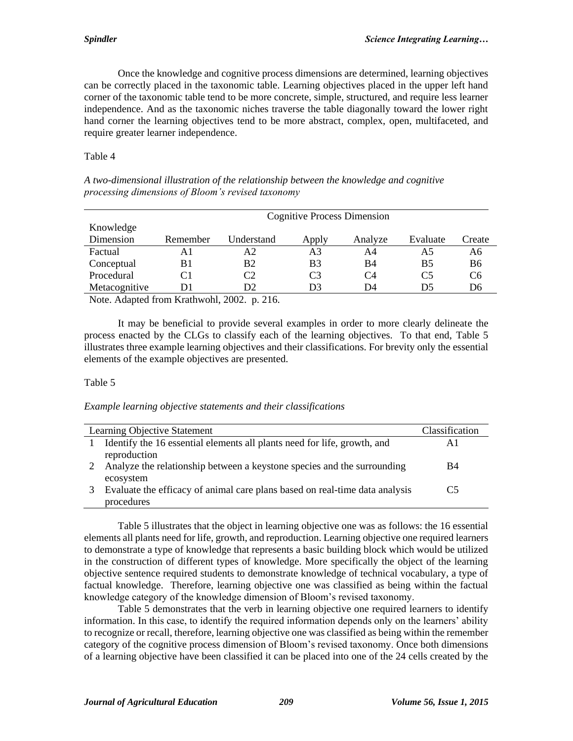Once the knowledge and cognitive process dimensions are determined, learning objectives can be correctly placed in the taxonomic table. Learning objectives placed in the upper left hand corner of the taxonomic table tend to be more concrete, simple, structured, and require less learner independence. And as the taxonomic niches traverse the table diagonally toward the lower right hand corner the learning objectives tend to be more abstract, complex, open, multifaceted, and require greater learner independence.

## Table 4

| A two-dimensional illustration of the relationship between the knowledge and cognitive |  |  |  |  |
|----------------------------------------------------------------------------------------|--|--|--|--|
| processing dimensions of Bloom's revised taxonomy                                      |  |  |  |  |

|               | <b>Cognitive Process Dimension</b> |            |                |         |          |        |  |
|---------------|------------------------------------|------------|----------------|---------|----------|--------|--|
| Knowledge     |                                    |            |                |         |          |        |  |
| Dimension     | Remember                           | Understand | Apply          | Analyze | Evaluate | Create |  |
| Factual       | A1                                 | Α2         | A3             | A4      | Α5       | A6     |  |
| Conceptual    | B1                                 | B2         | B <sub>3</sub> | B4      | B5       | B6     |  |
| Procedural    | C1                                 | C2         | C <sub>3</sub> | C4      | C5       | C6     |  |
| Metacognitive | D1                                 | D2         | D3             | D4      | D5       | D6     |  |

Note. Adapted from Krathwohl, 2002. p. 216.

It may be beneficial to provide several examples in order to more clearly delineate the process enacted by the CLGs to classify each of the learning objectives. To that end, Table 5 illustrates three example learning objectives and their classifications. For brevity only the essential elements of the example objectives are presented.

## Table 5

#### *Example learning objective statements and their classifications*

|   | Learning Objective Statement                                                | Classification |
|---|-----------------------------------------------------------------------------|----------------|
|   | Identify the 16 essential elements all plants need for life, growth, and    | ΑI             |
|   | reproduction                                                                |                |
|   | Analyze the relationship between a keystone species and the surrounding     | B4             |
|   | ecosystem                                                                   |                |
| 3 | Evaluate the efficacy of animal care plans based on real-time data analysis | ( '5           |
|   | procedures                                                                  |                |

Table 5 illustrates that the object in learning objective one was as follows: the 16 essential elements all plants need for life, growth, and reproduction. Learning objective one required learners to demonstrate a type of knowledge that represents a basic building block which would be utilized in the construction of different types of knowledge. More specifically the object of the learning objective sentence required students to demonstrate knowledge of technical vocabulary, a type of factual knowledge. Therefore, learning objective one was classified as being within the factual knowledge category of the knowledge dimension of Bloom's revised taxonomy.

Table 5 demonstrates that the verb in learning objective one required learners to identify information. In this case, to identify the required information depends only on the learners' ability to recognize or recall, therefore, learning objective one was classified as being within the remember category of the cognitive process dimension of Bloom's revised taxonomy. Once both dimensions of a learning objective have been classified it can be placed into one of the 24 cells created by the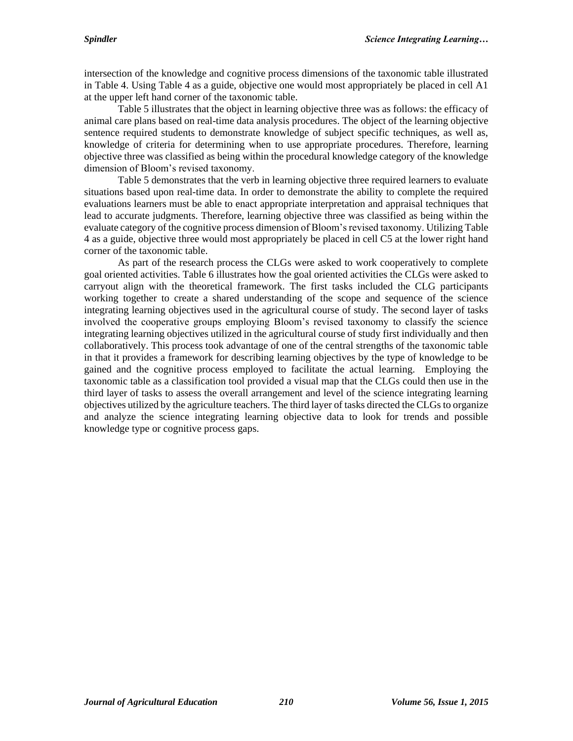intersection of the knowledge and cognitive process dimensions of the taxonomic table illustrated in Table 4. Using Table 4 as a guide, objective one would most appropriately be placed in cell A1 at the upper left hand corner of the taxonomic table.

Table 5 illustrates that the object in learning objective three was as follows: the efficacy of animal care plans based on real-time data analysis procedures. The object of the learning objective sentence required students to demonstrate knowledge of subject specific techniques, as well as, knowledge of criteria for determining when to use appropriate procedures. Therefore, learning objective three was classified as being within the procedural knowledge category of the knowledge dimension of Bloom's revised taxonomy.

Table 5 demonstrates that the verb in learning objective three required learners to evaluate situations based upon real-time data. In order to demonstrate the ability to complete the required evaluations learners must be able to enact appropriate interpretation and appraisal techniques that lead to accurate judgments. Therefore, learning objective three was classified as being within the evaluate category of the cognitive process dimension of Bloom's revised taxonomy. Utilizing Table 4 as a guide, objective three would most appropriately be placed in cell C5 at the lower right hand corner of the taxonomic table.

As part of the research process the CLGs were asked to work cooperatively to complete goal oriented activities. Table 6 illustrates how the goal oriented activities the CLGs were asked to carryout align with the theoretical framework. The first tasks included the CLG participants working together to create a shared understanding of the scope and sequence of the science integrating learning objectives used in the agricultural course of study. The second layer of tasks involved the cooperative groups employing Bloom's revised taxonomy to classify the science integrating learning objectives utilized in the agricultural course of study first individually and then collaboratively. This process took advantage of one of the central strengths of the taxonomic table in that it provides a framework for describing learning objectives by the type of knowledge to be gained and the cognitive process employed to facilitate the actual learning. Employing the taxonomic table as a classification tool provided a visual map that the CLGs could then use in the third layer of tasks to assess the overall arrangement and level of the science integrating learning objectives utilized by the agriculture teachers. The third layer of tasks directed the CLGs to organize and analyze the science integrating learning objective data to look for trends and possible knowledge type or cognitive process gaps.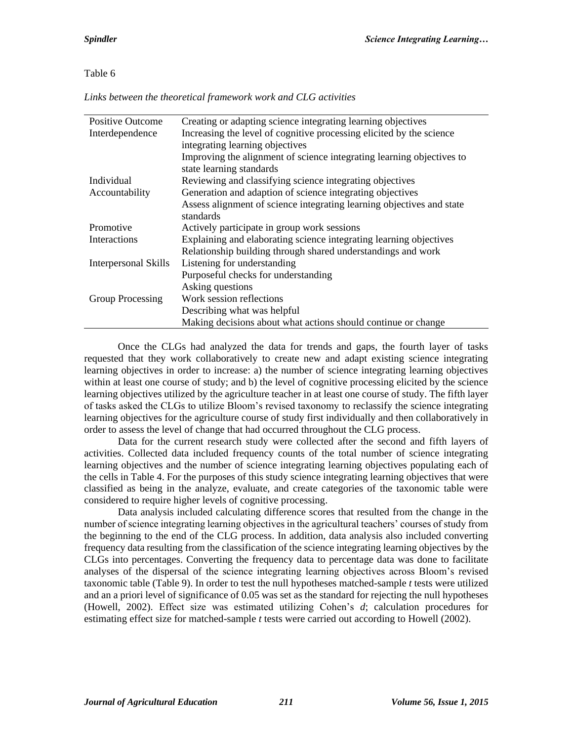*Links between the theoretical framework work and CLG activities*

| <b>Positive Outcome</b>     | Creating or adapting science integrating learning objectives          |
|-----------------------------|-----------------------------------------------------------------------|
| Interdependence             | Increasing the level of cognitive processing elicited by the science  |
|                             | integrating learning objectives                                       |
|                             | Improving the alignment of science integrating learning objectives to |
|                             | state learning standards                                              |
| Individual                  | Reviewing and classifying science integrating objectives              |
| Accountability              | Generation and adaption of science integrating objectives             |
|                             | Assess alignment of science integrating learning objectives and state |
|                             | standards                                                             |
| Promotive                   | Actively participate in group work sessions                           |
| Interactions                | Explaining and elaborating science integrating learning objectives    |
|                             | Relationship building through shared understandings and work          |
| <b>Interpersonal Skills</b> | Listening for understanding                                           |
|                             | Purposeful checks for understanding                                   |
|                             | Asking questions                                                      |
| Group Processing            | Work session reflections                                              |
|                             | Describing what was helpful                                           |
|                             | Making decisions about what actions should continue or change         |

Once the CLGs had analyzed the data for trends and gaps, the fourth layer of tasks requested that they work collaboratively to create new and adapt existing science integrating learning objectives in order to increase: a) the number of science integrating learning objectives within at least one course of study; and b) the level of cognitive processing elicited by the science learning objectives utilized by the agriculture teacher in at least one course of study. The fifth layer of tasks asked the CLGs to utilize Bloom's revised taxonomy to reclassify the science integrating learning objectives for the agriculture course of study first individually and then collaboratively in order to assess the level of change that had occurred throughout the CLG process.

Data for the current research study were collected after the second and fifth layers of activities. Collected data included frequency counts of the total number of science integrating learning objectives and the number of science integrating learning objectives populating each of the cells in Table 4. For the purposes of this study science integrating learning objectives that were classified as being in the analyze, evaluate, and create categories of the taxonomic table were considered to require higher levels of cognitive processing.

Data analysis included calculating difference scores that resulted from the change in the number of science integrating learning objectives in the agricultural teachers' courses of study from the beginning to the end of the CLG process. In addition, data analysis also included converting frequency data resulting from the classification of the science integrating learning objectives by the CLGs into percentages. Converting the frequency data to percentage data was done to facilitate analyses of the dispersal of the science integrating learning objectives across Bloom's revised taxonomic table (Table 9). In order to test the null hypotheses matched-sample *t* tests were utilized and an a priori level of significance of 0.05 was set as the standard for rejecting the null hypotheses (Howell, 2002). Effect size was estimated utilizing Cohen's *d*; calculation procedures for estimating effect size for matched-sample *t* tests were carried out according to Howell (2002).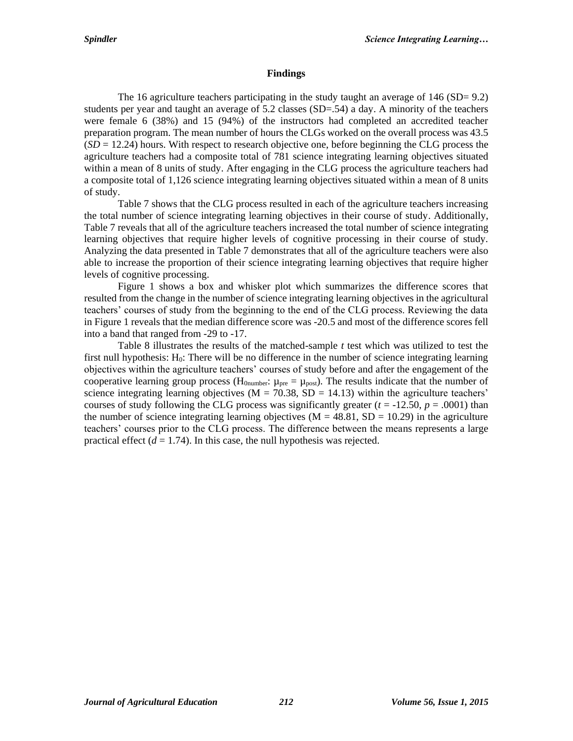#### **Findings**

The 16 agriculture teachers participating in the study taught an average of 146 (SD= 9.2) students per year and taught an average of  $5.2$  classes (SD= $.54$ ) a day. A minority of the teachers were female 6 (38%) and 15 (94%) of the instructors had completed an accredited teacher preparation program. The mean number of hours the CLGs worked on the overall process was 43.5  $(SD = 12.24)$  hours. With respect to research objective one, before beginning the CLG process the agriculture teachers had a composite total of 781 science integrating learning objectives situated within a mean of 8 units of study. After engaging in the CLG process the agriculture teachers had a composite total of 1,126 science integrating learning objectives situated within a mean of 8 units of study.

Table 7 shows that the CLG process resulted in each of the agriculture teachers increasing the total number of science integrating learning objectives in their course of study. Additionally, Table 7 reveals that all of the agriculture teachers increased the total number of science integrating learning objectives that require higher levels of cognitive processing in their course of study. Analyzing the data presented in Table 7 demonstrates that all of the agriculture teachers were also able to increase the proportion of their science integrating learning objectives that require higher levels of cognitive processing.

Figure 1 shows a box and whisker plot which summarizes the difference scores that resulted from the change in the number of science integrating learning objectives in the agricultural teachers' courses of study from the beginning to the end of the CLG process. Reviewing the data in Figure 1 reveals that the median difference score was -20.5 and most of the difference scores fell into a band that ranged from -29 to -17.

Table 8 illustrates the results of the matched-sample *t* test which was utilized to test the first null hypothesis: H0: There will be no difference in the number of science integrating learning objectives within the agriculture teachers' courses of study before and after the engagement of the cooperative learning group process ( $H_{0\text{number}}$ :  $\mu_{pre} = \mu_{post}$ ). The results indicate that the number of science integrating learning objectives ( $M = 70.38$ ,  $SD = 14.13$ ) within the agriculture teachers' courses of study following the CLG process was significantly greater ( $t = -12.50$ ,  $p = .0001$ ) than the number of science integrating learning objectives  $(M = 48.81, SD = 10.29)$  in the agriculture teachers' courses prior to the CLG process. The difference between the means represents a large practical effect  $(d = 1.74)$ . In this case, the null hypothesis was rejected.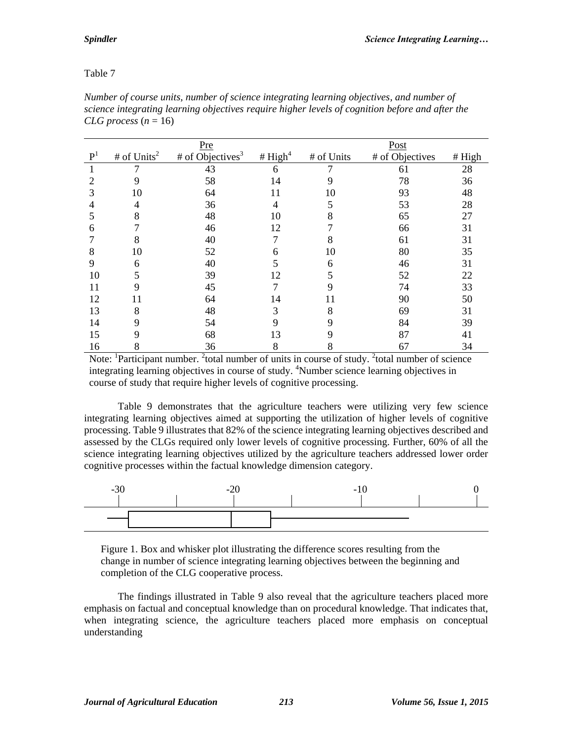|                |                | <b>Pre</b>                   |           |            | Post            |        |
|----------------|----------------|------------------------------|-----------|------------|-----------------|--------|
| $\mathbf{P}^1$ | # of $Units^2$ | # of Objectives <sup>3</sup> | # $High4$ | # of Units | # of Objectives | # High |
|                |                | 43                           | 6         |            | 61              | 28     |
|                | 9              | 58                           | 14        | 9          | 78              | 36     |
| 3              | 10             | 64                           | 11        | 10         | 93              | 48     |
| 4              | 4              | 36                           | 4         | 5          | 53              | 28     |
| 5              | 8              | 48                           | 10        | 8          | 65              | 27     |
| 6              |                | 46                           | 12        |            | 66              | 31     |
|                | 8              | 40                           |           | 8          | 61              | 31     |
| 8              | 10             | 52                           | 6         | 10         | 80              | 35     |
| 9              | 6              | 40                           |           | 6          | 46              | 31     |
| 10             | 5              | 39                           | 12        |            | 52              | 22     |
| 11             | 9              | 45                           |           | 9          | 74              | 33     |
| 12             | 11             | 64                           | 14        | 11         | 90              | 50     |
| 13             | 8              | 48                           | 3         | 8          | 69              | 31     |
| 14             | 9              | 54                           | 9         | 9          | 84              | 39     |
| 15             | 9              | 68                           | 13        |            | 87              | 41     |
| 16             | 8              | 36                           | 8         | 8          | 67              | 34     |

*Number of course units, number of science integrating learning objectives, and number of science integrating learning objectives require higher levels of cognition before and after the CLG process*  $(n = 16)$ 

Note: <sup>1</sup>Participant number. <sup>2</sup> total number of units in course of study. <sup>2</sup> total number of science integrating learning objectives in course of study. <sup>4</sup>Number science learning objectives in course of study that require higher levels of cognitive processing.

Table 9 demonstrates that the agriculture teachers were utilizing very few science integrating learning objectives aimed at supporting the utilization of higher levels of cognitive processing. Table 9 illustrates that 82% of the science integrating learning objectives described and assessed by the CLGs required only lower levels of cognitive processing. Further, 60% of all the science integrating learning objectives utilized by the agriculture teachers addressed lower order cognitive processes within the factual knowledge dimension category.



Figure 1. Box and whisker plot illustrating the difference scores resulting from the change in number of science integrating learning objectives between the beginning and completion of the CLG cooperative process.

The findings illustrated in Table 9 also reveal that the agriculture teachers placed more emphasis on factual and conceptual knowledge than on procedural knowledge. That indicates that, when integrating science, the agriculture teachers placed more emphasis on conceptual understanding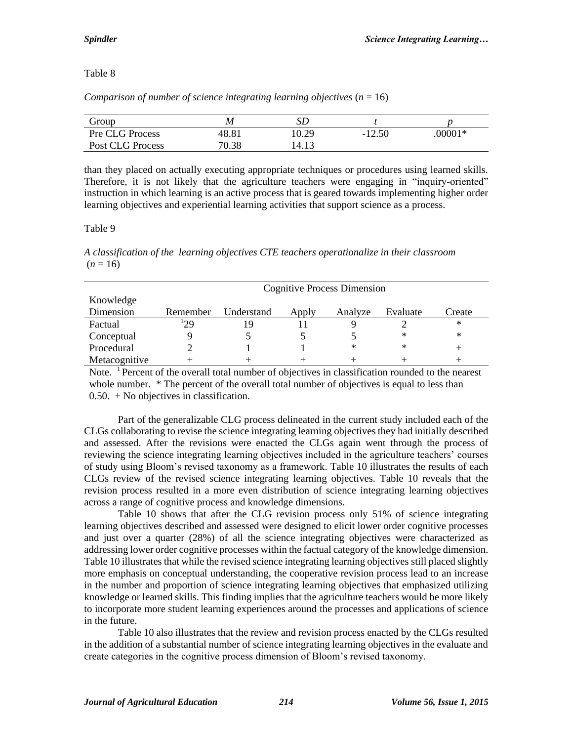*Comparison of number of science integrating learning objectives* (*n* = 16)

| Group            | M     | SΕ    |          |          |
|------------------|-------|-------|----------|----------|
| Pre CLG Process  | 48.81 | 10.29 | $-12.50$ | $00001*$ |
| Post CLG Process | 70.38 | 14.13 |          |          |

than they placed on actually executing appropriate techniques or procedures using learned skills. Therefore, it is not likely that the agriculture teachers were engaging in "inquiry-oriented" instruction in which learning is an active process that is geared towards implementing higher order learning objectives and experiential learning activities that support science as a process.

### Table 9

*A classification of the learning objectives CTE teachers operationalize in their classroom*  $(n = 16)$ 

|               | <b>Cognitive Process Dimension</b> |            |       |         |           |        |  |
|---------------|------------------------------------|------------|-------|---------|-----------|--------|--|
| Knowledge     |                                    |            |       |         |           |        |  |
| Dimension     | Remember                           | Understand | Apply | Analyze | Evaluate  | Create |  |
| Factual       | 129                                | 19         |       |         |           | ∗      |  |
| Conceptual    |                                    |            |       |         | $^{\ast}$ | $\ast$ |  |
| Procedural    |                                    |            |       | $\ast$  | $\ast$    |        |  |
| Metacognitive |                                    |            |       |         |           |        |  |

Note. <sup>1</sup> Percent of the overall total number of objectives in classification rounded to the nearest whole number. \* The percent of the overall total number of objectives is equal to less than 0.50. + No objectives in classification.

Part of the generalizable CLG process delineated in the current study included each of the CLGs collaborating to revise the science integrating learning objectives they had initially described and assessed. After the revisions were enacted the CLGs again went through the process of reviewing the science integrating learning objectives included in the agriculture teachers' courses of study using Bloom's revised taxonomy as a framework. Table 10 illustrates the results of each CLGs review of the revised science integrating learning objectives. Table 10 reveals that the revision process resulted in a more even distribution of science integrating learning objectives across a range of cognitive process and knowledge dimensions.

Table 10 shows that after the CLG revision process only 51% of science integrating learning objectives described and assessed were designed to elicit lower order cognitive processes and just over a quarter (28%) of all the science integrating objectives were characterized as addressing lower order cognitive processes within the factual category of the knowledge dimension. Table 10 illustrates that while the revised science integrating learning objectives still placed slightly more emphasis on conceptual understanding, the cooperative revision process lead to an increase in the number and proportion of science integrating learning objectives that emphasized utilizing knowledge or learned skills. This finding implies that the agriculture teachers would be more likely to incorporate more student learning experiences around the processes and applications of science in the future.

Table 10 also illustrates that the review and revision process enacted by the CLGs resulted in the addition of a substantial number of science integrating learning objectives in the evaluate and create categories in the cognitive process dimension of Bloom's revised taxonomy.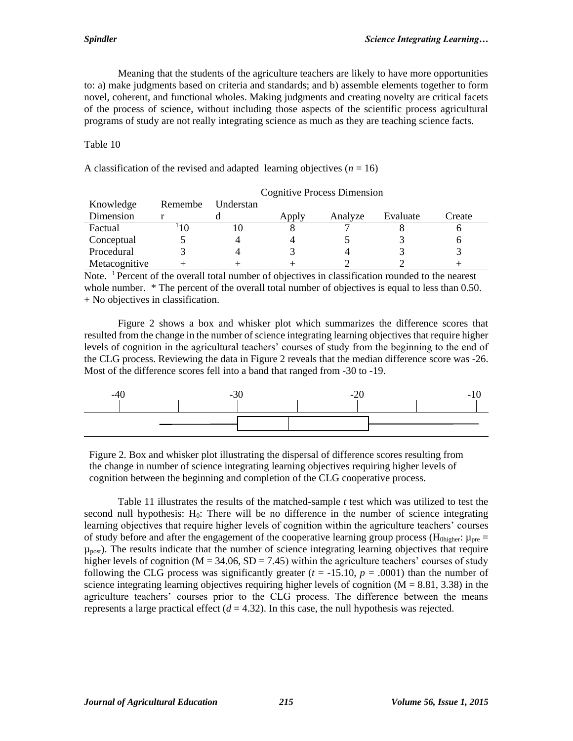Meaning that the students of the agriculture teachers are likely to have more opportunities to: a) make judgments based on criteria and standards; and b) assemble elements together to form novel, coherent, and functional wholes. Making judgments and creating novelty are critical facets of the process of science, without including those aspects of the scientific process agricultural programs of study are not really integrating science as much as they are teaching science facts.

Table 10

|                                               |  | <b>Cognitive Process Dimension</b> |  |  |
|-----------------------------------------------|--|------------------------------------|--|--|
| $\mathbf{V}$ 11 $\mathbf{D}$ 1 $\mathbf{H}$ 1 |  |                                    |  |  |

A classification of the revised and adapted learning objectives  $(n = 16)$ 

| Knowledge     | Remembe | Understan |       |         |          |        |
|---------------|---------|-----------|-------|---------|----------|--------|
| Dimension     |         |           | Apply | Analyze | Evaluate | Create |
| Factual       | 10      |           |       |         |          |        |
| Conceptual    |         | 4         |       |         |          |        |
| Procedural    |         |           |       |         |          |        |
| Metacognitive |         |           |       |         |          |        |

Note. <sup>1</sup> Percent of the overall total number of objectives in classification rounded to the nearest whole number. \* The percent of the overall total number of objectives is equal to less than 0.50. + No objectives in classification.

Figure 2 shows a box and whisker plot which summarizes the difference scores that resulted from the change in the number of science integrating learning objectives that require higher levels of cognition in the agricultural teachers' courses of study from the beginning to the end of the CLG process. Reviewing the data in Figure 2 reveals that the median difference score was -26. Most of the difference scores fell into a band that ranged from -30 to -19.



Figure 2. Box and whisker plot illustrating the dispersal of difference scores resulting from the change in number of science integrating learning objectives requiring higher levels of cognition between the beginning and completion of the CLG cooperative process.

Table 11 illustrates the results of the matched-sample *t* test which was utilized to test the second null hypothesis:  $H_0$ : There will be no difference in the number of science integrating learning objectives that require higher levels of cognition within the agriculture teachers' courses of study before and after the engagement of the cooperative learning group process ( $H_{0hieher}$ :  $\mu_{pre}$  $\mu_{\text{post}}$ ). The results indicate that the number of science integrating learning objectives that require higher levels of cognition ( $M = 34.06$ ,  $SD = 7.45$ ) within the agriculture teachers' courses of study following the CLG process was significantly greater ( $t = -15.10$ ,  $p = .0001$ ) than the number of science integrating learning objectives requiring higher levels of cognition  $(M = 8.81, 3.38)$  in the agriculture teachers' courses prior to the CLG process. The difference between the means represents a large practical effect  $(d = 4.32)$ . In this case, the null hypothesis was rejected.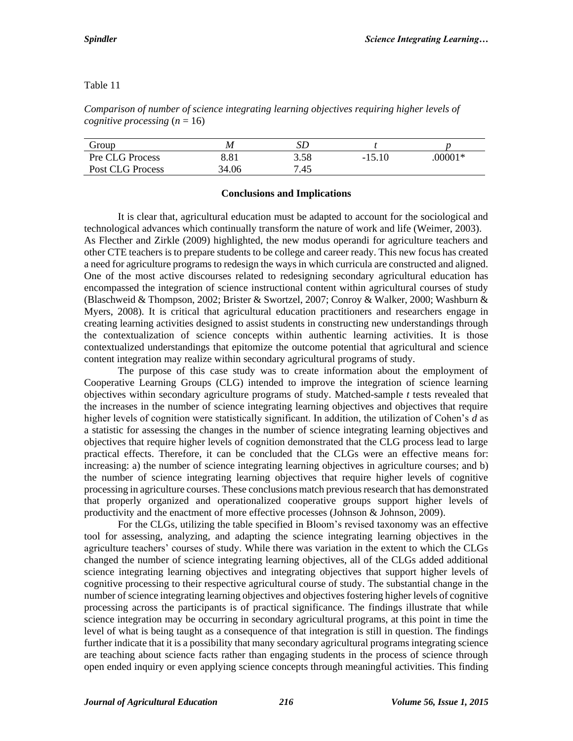| Group            | M     | SD   |          |         |
|------------------|-------|------|----------|---------|
| Pre CLG Process  | 8.81  | 3.58 | $-15.10$ | .00001* |
| Post CLG Process | 34.06 | 7.45 |          |         |

*Comparison of number of science integrating learning objectives requiring higher levels of cognitive processing*  $(n = 16)$ 

#### **Conclusions and Implications**

It is clear that, agricultural education must be adapted to account for the sociological and technological advances which continually transform the nature of work and life (Weimer, 2003). As Flecther and Zirkle (2009) highlighted, the new modus operandi for agriculture teachers and other CTE teachers is to prepare students to be college and career ready. This new focus has created a need for agriculture programs to redesign the ways in which curricula are constructed and aligned. One of the most active discourses related to redesigning secondary agricultural education has encompassed the integration of science instructional content within agricultural courses of study (Blaschweid & Thompson, 2002; Brister & Swortzel, 2007; Conroy & Walker, 2000; Washburn & Myers, 2008). It is critical that agricultural education practitioners and researchers engage in creating learning activities designed to assist students in constructing new understandings through the contextualization of science concepts within authentic learning activities. It is those contextualized understandings that epitomize the outcome potential that agricultural and science content integration may realize within secondary agricultural programs of study.

The purpose of this case study was to create information about the employment of Cooperative Learning Groups (CLG) intended to improve the integration of science learning objectives within secondary agriculture programs of study. Matched-sample *t* tests revealed that the increases in the number of science integrating learning objectives and objectives that require higher levels of cognition were statistically significant. In addition, the utilization of Cohen's *d* as a statistic for assessing the changes in the number of science integrating learning objectives and objectives that require higher levels of cognition demonstrated that the CLG process lead to large practical effects. Therefore, it can be concluded that the CLGs were an effective means for: increasing: a) the number of science integrating learning objectives in agriculture courses; and b) the number of science integrating learning objectives that require higher levels of cognitive processing in agriculture courses. These conclusions match previous research that has demonstrated that properly organized and operationalized cooperative groups support higher levels of productivity and the enactment of more effective processes (Johnson & Johnson, 2009).

For the CLGs, utilizing the table specified in Bloom's revised taxonomy was an effective tool for assessing, analyzing, and adapting the science integrating learning objectives in the agriculture teachers' courses of study. While there was variation in the extent to which the CLGs changed the number of science integrating learning objectives, all of the CLGs added additional science integrating learning objectives and integrating objectives that support higher levels of cognitive processing to their respective agricultural course of study. The substantial change in the number of science integrating learning objectives and objectives fostering higher levels of cognitive processing across the participants is of practical significance. The findings illustrate that while science integration may be occurring in secondary agricultural programs, at this point in time the level of what is being taught as a consequence of that integration is still in question. The findings further indicate that it is a possibility that many secondary agricultural programs integrating science are teaching about science facts rather than engaging students in the process of science through open ended inquiry or even applying science concepts through meaningful activities. This finding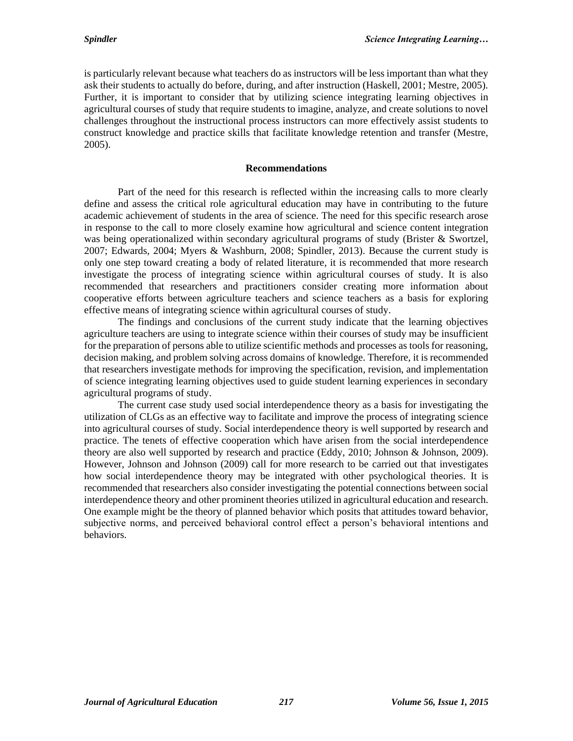is particularly relevant because what teachers do as instructors will be less important than what they ask their students to actually do before, during, and after instruction (Haskell, 2001; Mestre, 2005). Further, it is important to consider that by utilizing science integrating learning objectives in agricultural courses of study that require students to imagine, analyze, and create solutions to novel challenges throughout the instructional process instructors can more effectively assist students to construct knowledge and practice skills that facilitate knowledge retention and transfer (Mestre, 2005).

#### **Recommendations**

Part of the need for this research is reflected within the increasing calls to more clearly define and assess the critical role agricultural education may have in contributing to the future academic achievement of students in the area of science. The need for this specific research arose in response to the call to more closely examine how agricultural and science content integration was being operationalized within secondary agricultural programs of study (Brister & Swortzel, 2007; Edwards, 2004; Myers & Washburn, 2008; Spindler, 2013). Because the current study is only one step toward creating a body of related literature, it is recommended that more research investigate the process of integrating science within agricultural courses of study. It is also recommended that researchers and practitioners consider creating more information about cooperative efforts between agriculture teachers and science teachers as a basis for exploring effective means of integrating science within agricultural courses of study.

The findings and conclusions of the current study indicate that the learning objectives agriculture teachers are using to integrate science within their courses of study may be insufficient for the preparation of persons able to utilize scientific methods and processes as tools for reasoning, decision making, and problem solving across domains of knowledge. Therefore, it is recommended that researchers investigate methods for improving the specification, revision, and implementation of science integrating learning objectives used to guide student learning experiences in secondary agricultural programs of study.

The current case study used social interdependence theory as a basis for investigating the utilization of CLGs as an effective way to facilitate and improve the process of integrating science into agricultural courses of study. Social interdependence theory is well supported by research and practice. The tenets of effective cooperation which have arisen from the social interdependence theory are also well supported by research and practice (Eddy, 2010; Johnson & Johnson, 2009). However, Johnson and Johnson (2009) call for more research to be carried out that investigates how social interdependence theory may be integrated with other psychological theories. It is recommended that researchers also consider investigating the potential connections between social interdependence theory and other prominent theories utilized in agricultural education and research. One example might be the theory of planned behavior which posits that attitudes toward behavior, subjective norms, and perceived behavioral control effect a person's behavioral intentions and behaviors.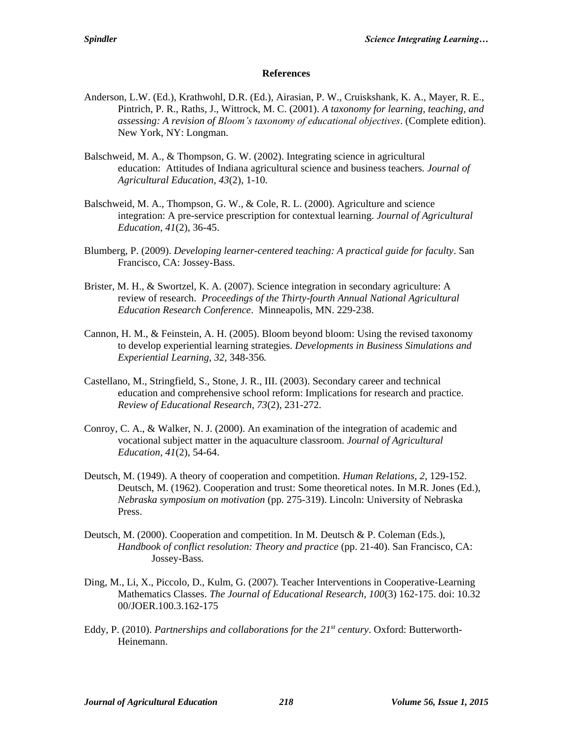#### **References**

- Anderson, L.W. (Ed.), Krathwohl, D.R. (Ed.), Airasian, P. W., Cruiskshank, K. A., Mayer, R. E., Pintrich, P. R., Raths, J., Wittrock, M. C. (2001). *A taxonomy for learning, teaching, and assessing: A revision of Bloom's taxonomy of educational objectives*. (Complete edition). New York, NY: Longman.
- Balschweid, M. A., & Thompson, G. W. (2002). Integrating science in agricultural education: Attitudes of Indiana agricultural science and business teachers*. Journal of Agricultural Education, 43*(2), 1-10.
- Balschweid, M. A., Thompson, G. W., & Cole, R. L. (2000). Agriculture and science integration: A pre-service prescription for contextual learning. *Journal of Agricultural Education, 41*(2), 36-45.
- Blumberg, P. (2009). *Developing learner-centered teaching: A practical guide for faculty*. San Francisco, CA: Jossey-Bass.
- Brister, M. H., & Swortzel, K. A. (2007). Science integration in secondary agriculture: A review of research. *Proceedings of the Thirty-fourth Annual National Agricultural Education Research Conference*. Minneapolis, MN. 229-238.
- Cannon, H. M., & Feinstein, A. H. (2005). Bloom beyond bloom: Using the revised taxonomy to develop experiential learning strategies. *Developments in Business Simulations and Experiential Learning, 32,* 348-356*.*
- Castellano, M., Stringfield, S., Stone, J. R., III. (2003). Secondary career and technical education and comprehensive school reform: Implications for research and practice. *Review of Educational Research, 73*(2), 231-272.
- Conroy, C. A., & Walker, N. J. (2000). An examination of the integration of academic and vocational subject matter in the aquaculture classroom. *Journal of Agricultural Education, 41*(2), 54-64.
- Deutsch, M. (1949). A theory of cooperation and competition. *Human Relations, 2*, 129-152. Deutsch, M. (1962). Cooperation and trust: Some theoretical notes. In M.R. Jones (Ed.), *Nebraska symposium on motivation* (pp. 275-319). Lincoln: University of Nebraska Press.
- Deutsch, M. (2000). Cooperation and competition. In M. Deutsch & P. Coleman (Eds.), *Handbook of conflict resolution: Theory and practice* (pp. 21-40). San Francisco, CA: Jossey-Bass.
- Ding, M., Li, X., Piccolo, D., Kulm, G. (2007). Teacher Interventions in Cooperative-Learning Mathematics Classes. *The Journal of Educational Research, 100*(3) 162-175. doi: 10.32 00/JOER.100.3.162-175
- Eddy, P. (2010). *Partnerships and collaborations for the 21st century*. Oxford: Butterworth-Heinemann.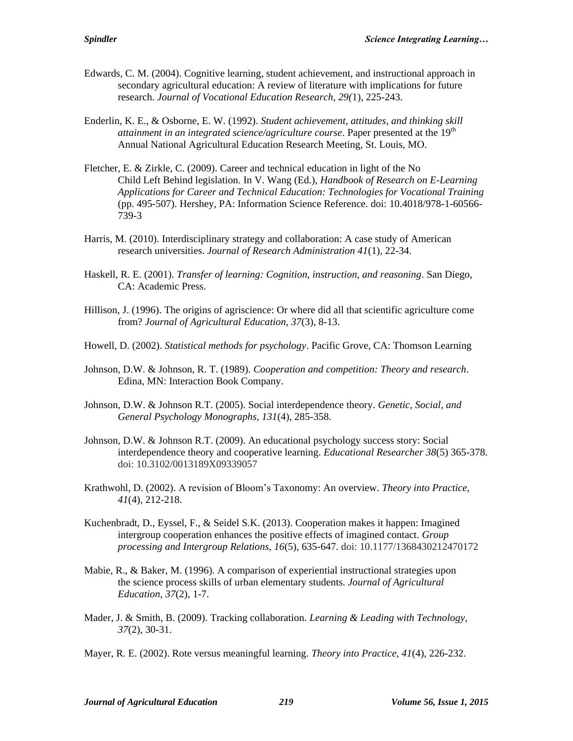- Edwards, C. M. (2004). Cognitive learning, student achievement, and instructional approach in secondary agricultural education: A review of literature with implications for future research. *Journal of Vocational Education Research, 29(*1), 225-243.
- Enderlin, K. E., & Osborne, E. W. (1992). *Student achievement, attitudes, and thinking skill attainment in an integrated science/agriculture course*. Paper presented at the 19<sup>th</sup> Annual National Agricultural Education Research Meeting, St. Louis, MO.
- Fletcher, E. & Zirkle, C. (2009). Career and technical education in light of the No Child Left Behind legislation. In V. Wang (Ed.), *Handbook of Research on E-Learning Applications for Career and Technical Education: Technologies for Vocational Training* (pp. 495-507). Hershey, PA: Information Science Reference. doi: 10.4018/978-1-60566- 739-3
- Harris, M. (2010). Interdisciplinary strategy and collaboration: A case study of American research universities. *Journal of Research Administration 41*(1), 22-34.
- Haskell, R. E. (2001). *Transfer of learning: Cognition, instruction, and reasoning*. San Diego, CA: Academic Press.
- Hillison, J. (1996). The origins of agriscience: Or where did all that scientific agriculture come from? *Journal of Agricultural Education, 37*(3), 8-13.
- Howell, D. (2002). *Statistical methods for psychology*. Pacific Grove, CA: Thomson Learning
- Johnson, D.W. & Johnson, R. T. (1989). *Cooperation and competition: Theory and research*. Edina, MN: Interaction Book Company.
- Johnson, D.W. & Johnson R.T. (2005). Social interdependence theory. *Genetic, Social, and General Psychology Monographs, 131*(4), 285-358.
- Johnson, D.W. & Johnson R.T. (2009). An educational psychology success story: Social interdependence theory and cooperative learning. *Educational Researcher 38*(5) 365-378. doi: 10.3102/0013189X09339057
- Krathwohl, D. (2002). A revision of Bloom's Taxonomy: An overview. *Theory into Practice, 41*(4), 212-218.
- Kuchenbradt, D., Eyssel, F., & Seidel S.K. (2013). Cooperation makes it happen: Imagined intergroup cooperation enhances the positive effects of imagined contact. *Group processing and Intergroup Relations, 16*(5), 635-647. doi: 10.1177/1368430212470172
- Mabie, R., & Baker, M. (1996). A comparison of experiential instructional strategies upon the science process skills of urban elementary students. *Journal of Agricultural Education, 37*(2), 1-7.
- Mader, J. & Smith, B. (2009). Tracking collaboration. *Learning & Leading with Technology, 37*(2), 30-31.
- Mayer, R. E. (2002). Rote versus meaningful learning. *Theory into Practice, 41*(4), 226-232.